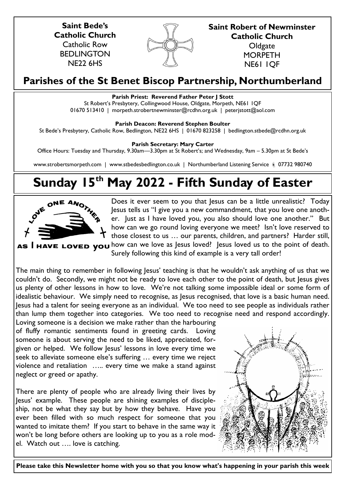**Saint Bede's Catholic Church** Catholic Row BEDLINGTON NE22 6HS



**Saint Robert of Newminster Catholic Church Oldgate MORPETH** 

NE61 1QF

# **Parishes of the St Benet Biscop Partnership, Northumberland**

# **Parish Priest: Reverend Father Peter J Stott**

St Robert's Presbytery, Collingwood House, Oldgate, Morpeth, NE61 1QF 01670 513410 | morpeth.strobertnewminster@rcdhn.org.uk | peterjstott@aol.com

**Parish Deacon: Reverend Stephen Boulter**

St Bede's Presbytery, Catholic Row, Bedlington, NE22 6HS | 01670 823258 | bedlington.stbede@rcdhn.org.uk

**Parish Secretary: Mary Carter** 

Office Hours: Tuesday and Thursday, 9.30am—3.30pm at St Robert's; and Wednesday, 9am – 5.30pm at St Bede's

www.strobertsmorpeth.com | www.stbedesbedlington.co.uk | Northumberland Listening Service | 07732 980740

# **Sunday 15th May 2022 - Fifth Sunday of Easter**



Does it ever seem to you that Jesus can be a little unrealistic? Today Jesus tells us "I give you a new commandment, that you love one another. Just as I have loved you, you also should love one another." But how can we go round loving everyone we meet? Isn't love reserved to those closest to us … our parents, children, and partners? Harder still, AS I HAVE LOVED YOU how can we love as Jesus loved? Jesus loved us to the point of death.

Surely following this kind of example is a very tall order!

The main thing to remember in following Jesus' teaching is that he wouldn't ask anything of us that we couldn't do. Secondly, we might not be ready to love each other to the point of death, but Jesus gives us plenty of other lessons in how to love. We're not talking some impossible ideal or some form of idealistic behaviour. We simply need to recognise, as Jesus recognised, that love is a basic human need. Jesus had a talent for seeing everyone as an individual. We too need to see people as individuals rather than lump them together into categories. We too need to recognise need and respond accordingly.

Loving someone is a decision we make rather than the harbouring of fluffy romantic sentiments found in greeting cards. Loving someone is about serving the need to be liked, appreciated, forgiven or helped. We follow Jesus' lessons in love every time we seek to alleviate someone else's suffering … every time we reject violence and retaliation ….. every time we make a stand against neglect or greed or apathy.

There are plenty of people who are already living their lives by Jesus' example. These people are shining examples of discipleship, not be what they say but by how they behave. Have you ever been filled with so much respect for someone that you wanted to imitate them? If you start to behave in the same way it won't be long before others are looking up to you as a role model. Watch out …. love is catching.



**Please take this Newsletter home with you so that you know what's happening in your parish this week**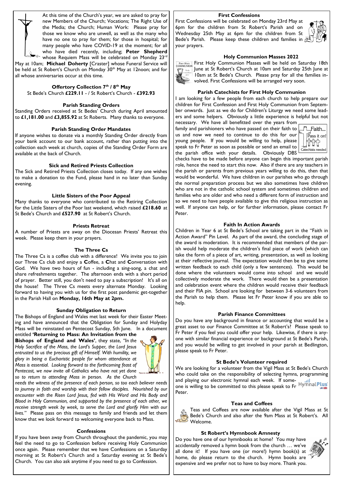

At this time of the Church's year, we are asked to pray for new Members of the Church; Vocations; The Right Use of the Media; the Church; Human Work: Please pray for those we know who are unwell, as well as the many who have no one to pray for them; for those in hospital; for many people who have COVID-19 at the moment; for all who have died recently, including; **Peter Shepherd**   $\mathbb{Z}^{\text{max}}$  whose Requiem Mass will be celebrated on Monday 23 $^{\text{rd}}$ 

May at 10am; **Michael Doherty** [Craster] whose Funeral Service will be held at St Robert's Church on Monday 30<sup>th</sup> May at 12noon; and for all whose anniversaries occur at this time.

# **Offertory Collection 7th / 8th May**

St Bede's Church **£229.11** - / St Robert's Church - **£392.93** 

#### **Parish Standing Orders**

Standing Orders received at St Bedes' Church during April amounted to **£1,181.00** and **£3,855.92** at St Roberts. Many thanks to everyone.

# **Parish Standing Order Mandates**

If anyone wishes to donate via a monthly Standing Order directly from your bank account to our bank account, rather than putting into the collection each week at church, copies of the Standing Order Form are available at the back of Church.

#### **Sick and Retired Priests Collection**

The Sick and Retired Priests Collection closes today. If any one wishes to make a donation to the Fund, please hand in no later than Sunday evening.

#### **Little Sisters of the Poor Appeal**

Many thanks to everyone who contributed to the Retiring Collection for the Little Sisters of the Poor last weekend, which raised **£218.60** at St Bede's Church and **£527.90** at St Robert's Church.

# **Priests Retreat**

A number of Priests are away on the Diocesan Priests' Retreat this week. Please keep them in your prayers.

#### **The Three Cs**

The Three Cs is a coffee club with a difference! We invite you to join our Three Cs club and enjoy a **C**offee, a **C**hat and **C**onversation with God. We have two hours of fun - including a sing-song, a chat and share refreshments together. The afternoon ends with a short period of prayer. Better still, you don't need to pay a subscription! It's all on the house! The Three Cs meets every alternate Monday. Looking forward to having you with us for the first post pandemic get-together in the Parish Hall on **Monday, 16th May at 2pm.**

#### **Sunday Obligation to Return**

The Bishops of England and Wales met last week for their Easter Meeting and have announced that the Obligation for Sunday and Holyday Mass will be reinstated on Pentecost Sunday, 5th June. In a document

entitled **'Returning to Mass: An Invitation from the Bishops of England and Wales'**, they state, *"In the Holy Sacrifice of the Mass, the Lord's Supper, the Lord Jesus entrusted to us the precious gift of Himself. With humility, we glory in being a Eucharistic people for whom attendance at Mass is essential. Looking forward to the forthcoming feast of Pentecost, we now invite all Catholics who have not yet done so to return to attending Mass in person. As the Church* 



*needs the witness of the presence of each person, so too each believer needs*  to journey in faith and worship with their fellow disciples. Nourished by our *encounter with the Risen Lord Jesus, fed with His Word and His Body and Blood in Holy Communion, and supported by the presence of each other, we receive strength week by week, to serve the Lord and glorify Him with our lives."* Please pass on this message to family and friends and let them know that we look forward to welcoming everyone back to Mass.

# **Confessions**

If you have been away from Church throughout the pandemic, you may feel the need to go to Confession before receiving Holy Communion once again. Please remember that we have Confessions on a Saturday morning at St Robert's Church and a Saturday evening at St Bede's Church. You can also ask anytime if you need to go to Confession.

#### **First Confessions**

First Confessions will be celebrated on Monday 23rd May at 6pm for the children from St Robert's Parish and on Wednesday 25th May at 6pm for the children from St Bede's Parish. Please keep these children and families in  $\bar{x}$ your prayers.



FIRET HOLY COMMUNION MASSES will be held on Saturday 18th June at St Robert's Church at 10am and Saturday 25th June at 10am at St Bede's Church. Please pray for all the families involved. First Confessions will be arranged very soon.

#### **Parish Catechists for First Holy Communion**

I am looking for a few people from each church to help prepare our children for First Confession and First Holy Communion from September onwards. Just as we do for Children's Liturgy we need some leaders and some helpers. Obviously a little experience is helpful but not necessary. We have all benefitted over the years from

family and parishioners who have passed on their faith to us and now we need to continue to do this for our young people. If you would be willing to help, please speak to Fr Peter as soon as possible or send an email to the parish office with your details. Obviously DBS



checks have to be made before anyone can begin this important parish role, hence the need to start this now. Also if there are any teachers in the parish or parents from previous years willing to do this, then that would be wonderful. We have children in our parishes who go through the normal preparation process but we also sometimes have children who are not in the catholic school system and sometimes children and families who are older and who need a different form of instruction and so we need to have people available to give this religious instruction as well.If anyone can help, or for further information, please contact Fr Peter.

# **Faith In Action Awards**

Children in Year 6 at St Bede's School are taking part in the "Faith in Action Award" Pin Level. As part of the award, the concluding stage of the award is moderation. It is recommended that members of the parish would help moderate the children's final piece of work (which can take the form of a piece of art, writing, presentation, as well as looking at their reflective journal. The expectation would then be to give some written feedback to each child (only a few sentences). This would be done where the volunteers would come into school and we would collectively moderate the work. There would then be a presentation and celebration event where the children would receive their feedback and their FIA pin. School are looking for between 3-6 volunteers from the Parish to help them. Please let Fr Peter know if you are able to help.

#### **Parish Finance Committees**

Do you have any background in finance or accounting that would be a great asset to our Finance Committee at St Robert's? Please speak to Fr Peter if you feel you could offer your help. Likewise, if there is anyone with similar financial experience or background at St Bede's Parish, and you would be willing to get involved in your parish at Bedlington, please speak to Fr Peter.

#### **St Bede's Volunteer required**

We are looking for a volunteer from the Vigil Mass at St Bede's Church who could take on the responsibility of selecting hymns, programming and playing our electronic hymnal each week. If someone is willing to be committed to this please speak to Fr Peter.

#### **Teas and Coffees**

Teas and Coffees are now available after the Vigil Mass at St Bede's Church and also after the 9am Mass at St Robert's. All Welcome.

#### **St Robert's Hymnbook Amnesty**

Do you have one of our hymnbooks at home? You may have accidentally removed a hymn book from the church … we've all done it! If you have one (or more!) hymn book(s) at home, do please return to the church. Hymn books are expensive and we prefer not to have to buy more. Thank you.

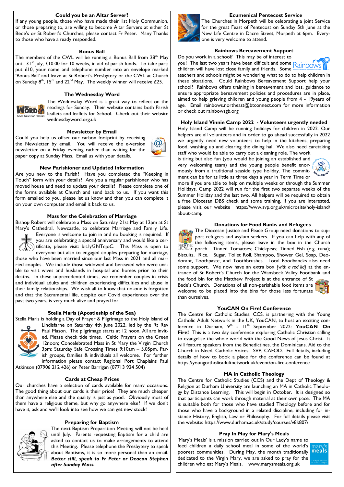## **Could you be an Altar Server?**

If any young people, those who have made their 1st Holy Communion, or those preparing to, are willing to become Altar Servers at either St Bede's or St Robert's Churches, please contact Fr Peter. Many Thanks to those who have already responded.

#### **Bonus Ball**

The members of the CWL will be running a Bonus Ball from 28<sup>th</sup> May until  $31^{st}$  July, £10.00 for 10 weeks, in aid of parish funds. To take part: put £10, your name and telephone number into an envelope marked 'Bonus Ball' and leave at St Robert's Presbytery or the CWL at Church on Sunday  $8^{th}$ , 15<sup>th</sup> and 22<sup>nd</sup> May. The weekly winner will receive £25.

# **The Wednesday Word**



The Wednesday Word is a great way to reflect on the readings for Sunday. Their website contains both Parish leaflets and leaflets for School. Check out their website wednesdayword.org.uk

#### **Newsletter by Email**

Could you help us offset our carbon footprint by receiving the Newsletter by email. You will receive the e-version newsletter on a Friday evening rather than waiting for the paper copy at Sunday Mass. Email us with your details.



Are you new to the Parish? Have you completed the "Keeping in Touch" form with your details? Are you a regular parishioner who has moved house and need to update your details? Please complete one of the forms available at Church and send back to us. If you want this form emailed to you, please let us know and then you can complete it on your own computer and email it back to us.

# **Mass for the Celebration of Marriage**

Bishop Robert will celebrate a Mass on Saturday 21st May at 12pm at St



Mary's Cathedral, Newcastle, to celebrate Marriage and Family Life. Everyone is welcome to join in and no booking is required. If you are celebrating a special anniversary and would like a certificate, please visit: bit.ly/3NTqjoC. This Mass is open to

everyone but also to engaged couples preparing for marriage, those who have been married since our last Mass in 2021 and all married couples. We include those widowed and bereaved who were unable to visit wives and husbands in hospital and homes prior to their deaths. In these unprecedented times, we remember couples in crisis and individual adults and children experiencing difficulties and abuse in their family relationships. We wish all to know that no-one is forgotten and that the Sacramental life, despite our Covid experiences over the past two years, is very much alive and prayed for.

#### **Stella Maris (Apostleship of the Sea)**

Stella Maris is holding a Day of Prayer & Pilgrimage to the Holy Island of



Lindisfarne on Saturday 4th June 2022, led by the Rt Rev Paul Mason. The pilgrimage starts at 12 noon. All are invited. Please check tide times. Celtic Prayers on the Green 12noon; Concelebrated Mass in St Mary the Virgin Church 3pm; Saturday Safe Crossing Times 9:10am – 5.05pm. Parish groups, families & individuals all welcome. For further information please contact Regional Port Chaplains Paul

Atkinson (07906 212 426) or Peter Barrigan (07713 924 504)

#### **Cards at Cheap Prices**

Our churches have a selection of cards available for many occasions. The good thing about our cards is their price! They are much cheaper than anywhere else and the quality is just as good. Obviously most of them have a religious theme, but why go anywhere else? If we don't have it, ask and we'll look into see how we can get new stock!

#### **Preparing for Baptism**



The next Baptism Preparation Meeting will not be held until July. Parents requesting Baptism for a child are asked to contact us to make arrangements to attend this Meeting. Please telephone the Presbytery to speak about Baptisms, it is so more personal than an email. *Better still, speak to Fr Peter or Deacon Stephen after Sunday Mass.*



**Ecumenical Pentecost Service** The Churches in Morpeth will be celebrating a joint Service for the great Feast of Pentecost on Sunday 5th June at the New Life Centre in Dacre Street, Morpeth at 6pm. Everyone is very welcome to attend.

# **Rainbows Bereavement Support**

Do you work in a school? This may be of interest to you! The last two years have been difficult and some Rainbows children will have lost close family and friends. Some



teachers and schools might be wondering what to do to help children in these situations. Could Rainbows Bereavement Support help your school? Rainbows offers training in bereavement and loss, guidance to ensure appropriate bereavement policies and procedures are in place, aimed to help grieving children and young people from 4 - 19years of age. Email rainbows.northeast@btconnect.com for more information or check out rainbowsgb.org

**Holy Island Vinnie Camp 2022 - Volunteers urgently needed**

Holy Island Camp will be running holidays for children in 2022. Our helpers are all volunteers and in order to go ahead successfully in 2022 we urgently need new volunteers to help in the kitchens, preparing food, washing up and clearing the dining hall. We also need caretaking staff who would be able to carry out a cleaning role. The work

is tiring but also fun (you would be joining an established and very welcoming team) and the young people benefit enormously from a traditional seaside type holiday. The commitment can be for as little as three days a year in Term Time or



more if you are able to help on multiple weeks or through the Summer Holidays. Camp 2022 will run for the first two separate weeks of the Summer Holiday and the last two. All helpers will be required to obtain a free Diocesan DBS check and some training. If you are interested, please visit our website https://www.svp.org.uk/microsite/holy-island/ about-camp

#### **Donations for Food Banks and Refugees**

The Diocesan Justice and Peace Group need donations to support refugees and asylum seekers. If you can help with any of the following items, please leave in the box in the Church porch. Tinned Tomatoes; Chickpeas; Tinned Fish (e.g. tuna); Biscuits, Rice, Sugar, Toilet Roll, Shampoo, Shower Gel, Soap, Deodorant, Toothpaste, and Toothbrushes. Local Foodbancks also need some support. We now have an extra box *[with a red lid]* at the entrance of St Robert's Church for the Wansbeck Valley Foodbank and the food bin for the Matthew Project is at the entrance of St Bede's Church. Donations of all non-perishable food items are welcome to be placed into the bins for those less fortunate than ourselves.

#### **YouCAN On Fire! Conference**

The Centre for Catholic Studies, CCS, is partnering with the Young Catholic Adult Network in the UK, YouCAN, to host an exciting conference in Durham, 9<sup>th</sup> -  $11<sup>th</sup>$  September 2022: **YouCAN On Fire!** This is a two day conference exploring Catholic Christian calling to evangelise the whole world with the Good News of Jesus Christ. It will feature speakers from the Benedictines, the Dominicans, Aid to the Church in Need, Catholic Voices, SVP, CAFOD. Full details, including details of how to book a place for the conference can be found at https://youngcatholicadultnetwork.uk/event/on-fire-conference

#### **MA in Catholic Theology**

The Centre for Catholic Studies (CCS) and the Dept of Theology & Religion at Durham University are launching an MA in Catholic Theology by Distance Learning. This will begin in October. It is designed so that participants can work through material at their own pace. The MA is suitable both for those who have studied Theology before and for those who have a background in a related discipline, including for instance History, English, Law or Philosophy. For full details please visit the website: https://www.durham.ac.uk/study/courses/v8k807/

# **Pray In May for Mary's Meals**

'Mary's Meals' is a mission carried out in Our Lady's name to feed children a daily school meal in some of the world's poorest communities. During May, the month traditionally dedicated to the Virgin Mary, we are asked to pray for the children who eat Mary's Meals. www.marysmeals.org.uk